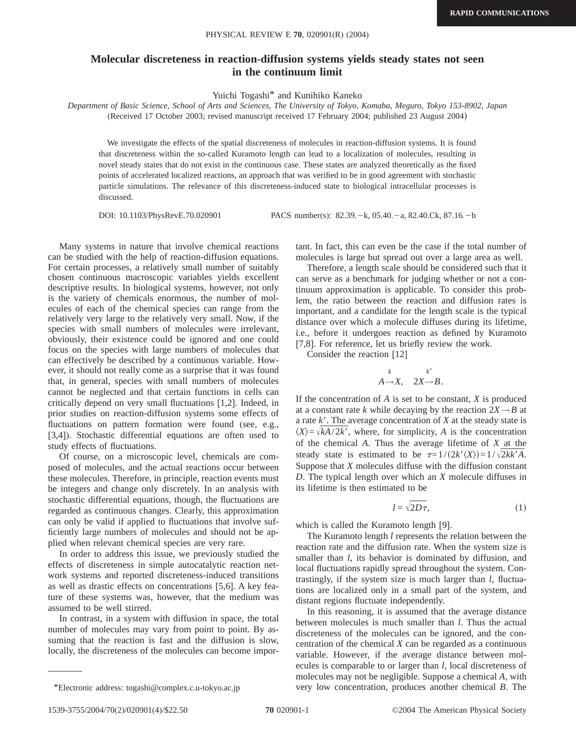## **Molecular discreteness in reaction-diffusion systems yields steady states not seen in the continuum limit**

Yuichi Togashi\* and Kunihiko Kaneko

*Department of Basic Science, School of Arts and Sciences, The University of Tokyo, Komaba, Meguro, Tokyo 153-8902, Japan* (Received 17 October 2003; revised manuscript received 17 February 2004; published 23 August 2004)

We investigate the effects of the spatial discreteness of molecules in reaction-diffusion systems. It is found that discreteness within the so-called Kuramoto length can lead to a localization of molecules, resulting in novel steady states that do not exist in the continuous case. These states are analyzed theoretically as the fixed points of accelerated localized reactions, an approach that was verified to be in good agreement with stochastic particle simulations. The relevance of this discreteness-induced state to biological intracellular processes is discussed.

DOI: 10.1103/PhysRevE.70.020901 PACS number(s): 82.39. - k, 05.40. - a, 82.40. Ck, 87.16. - b

Many systems in nature that involve chemical reactions can be studied with the help of reaction-diffusion equations. For certain processes, a relatively small number of suitably chosen continuous macroscopic variables yields excellent descriptive results. In biological systems, however, not only is the variety of chemicals enormous, the number of molecules of each of the chemical species can range from the relatively very large to the relatively very small. Now, if the species with small numbers of molecules were irrelevant, obviously, their existence could be ignored and one could focus on the species with large numbers of molecules that can effectively be described by a continuous variable. However, it should not really come as a surprise that it was found that, in general, species with small numbers of molecules cannot be neglected and that certain functions in cells can critically depend on very small fluctuations [1,2]. Indeed, in prior studies on reaction-diffusion systems some effects of fluctuations on pattern formation were found (see, e.g., [3,4]). Stochastic differential equations are often used to study effects of fluctuations.

Of course, on a microscopic level, chemicals are composed of molecules, and the actual reactions occur between these molecules. Therefore, in principle, reaction events must be integers and change only discretely. In an analysis with stochastic differential equations, though, the fluctuations are regarded as continuous changes. Clearly, this approximation can only be valid if applied to fluctuations that involve sufficiently large numbers of molecules and should not be applied when relevant chemical species are very rare.

In order to address this issue, we previously studied the effects of discreteness in simple autocatalytic reaction network systems and reported discreteness-induced transitions as well as drastic effects on concentrations [5,6]. A key feature of these systems was, however, that the medium was assumed to be well stirred.

In contrast, in a system with diffusion in space, the total number of molecules may vary from point to point. By assuming that the reaction is fast and the diffusion is slow, locally, the discreteness of the molecules can become important. In fact, this can even be the case if the total number of molecules is large but spread out over a large area as well.

Therefore, a length scale should be considered such that it can serve as a benchmark for judging whether or not a continuum approximation is applicable. To consider this problem, the ratio between the reaction and diffusion rates is important, and a candidate for the length scale is the typical distance over which a molecule diffuses during its lifetime, i.e., before it undergoes reaction as defined by Kuramoto [7,8]. For reference, let us briefly review the work.

Consider the reaction [12]

$$
\begin{array}{cc} & k & k' \\ A \rightarrow X, & 2X \rightarrow B. \end{array}
$$

If the concentration of *A* is set to be constant, *X* is produced at a constant rate *k* while decaying by the reaction  $2X \rightarrow B$  at a rate  $k'$ . The average concentration of  $X$  at the steady state is  $\langle X \rangle = \sqrt{kA/2k'}$ , where, for simplicity, *A* is the concentration of the chemical *A*. Thus the average lifetime of *X* at the steady state is estimated to be  $\tau=1/(2k^{\prime}\langle X\rangle)=1/\sqrt{2}kk^{\prime}A$ . Suppose that *X* molecules diffuse with the diffusion constant *D*. The typical length over which an *X* molecule diffuses in its lifetime is then estimated to be

$$
l = \sqrt{2D\tau},\tag{1}
$$

which is called the Kuramoto length [9].

The Kuramoto length *l* represents the relation between the reaction rate and the diffusion rate. When the system size is smaller than *l*, its behavior is dominated by diffusion, and local fluctuations rapidly spread throughout the system. Contrastingly, if the system size is much larger than *l*, fluctuations are localized only in a small part of the system, and distant regions fluctuate independently.

In this reasoning, it is assumed that the average distance between molecules is much smaller than *l*. Thus the actual discreteness of the molecules can be ignored, and the concentration of the chemical *X* can be regarded as a continuous variable. However, if the average distance between molecules is comparable to or larger than *l*, local discreteness of molecules may not be negligible. Suppose a chemical *A*, with \*Electronic address: togashi@complex.c.u-tokyo.ac.jp very low concentration, produces another chemical *B*. The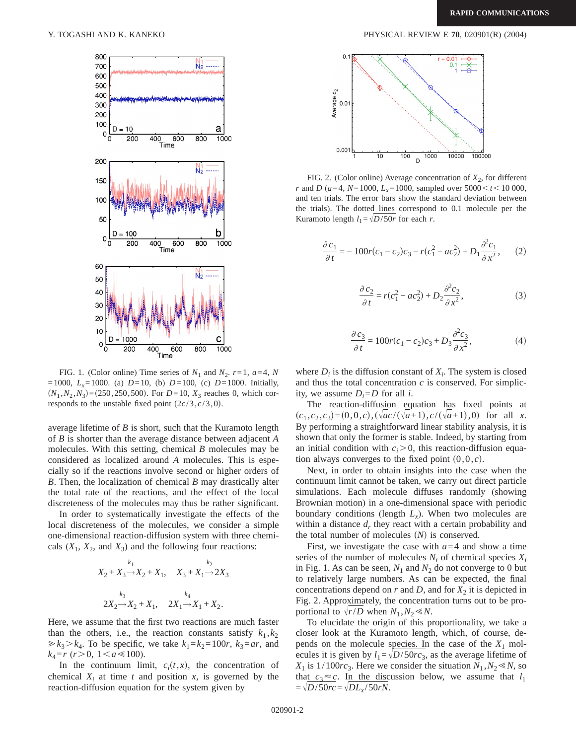

FIG. 1. (Color online) Time series of  $N_1$  and  $N_2$ .  $r=1$ ,  $a=4$ ,  $N$  $=1000$ ,  $L_x=1000$ . (a)  $D=10$ , (b)  $D=100$ , (c)  $D=1000$ . Initially,  $(N_1, N_2, N_3) = (250, 250, 500)$ . For  $D=10$ ,  $X_3$  reaches 0, which corresponds to the unstable fixed point  $(2c/3, c/3,0)$ .

average lifetime of *B* is short, such that the Kuramoto length of *B* is shorter than the average distance between adjacent *A* molecules. With this setting, chemical *B* molecules may be considered as localized around *A* molecules. This is especially so if the reactions involve second or higher orders of *B*. Then, the localization of chemical *B* may drastically alter the total rate of the reactions, and the effect of the local discreteness of the molecules may thus be rather significant.

In order to systematically investigate the effects of the local discreteness of the molecules, we consider a simple one-dimensional reaction-diffusion system with three chemicals  $(X_1, X_2, \text{ and } X_3)$  and the following four reactions:

$$
X_2 + X_3 \xrightarrow{k_1} X_2 + X_1, \quad X_3 + X_1 \xrightarrow{k_2} 2X_3
$$

$$
2X_2 \xrightarrow{k_3} X_2 + X_1, \quad 2X_1 \xrightarrow{k_4} X_1 + X_2.
$$

Here, we assume that the first two reactions are much faster than the others, i.e., the reaction constants satisfy  $k_1, k_2$  $\ge k_3 > k_4$ . To be specific, we take  $k_1 = k_2 = 100r$ ,  $k_3 = ar$ , and  $k_4 = r \ (r > 0, \ 1 \le a \le 100).$ 

In the continuum limit,  $c_i(t, x)$ , the concentration of chemical  $X_i$  at time  $t$  and position  $x$ , is governed by the reaction-diffusion equation for the system given by

Y. TOGASHI AND K. KANEKO PHYSICAL REVIEW E **70**, 020901(R) (2004)



FIG. 2. (Color online) Average concentration of  $X_2$ , for different *r* and *D* ( $a=4$ ,  $N=1000$ ,  $L_x=1000$ , sampled over  $5000 < t < 10000$ , and ten trials. The error bars show the standard deviation between the trials). The dotted lines correspond to 0.1 molecule per the Kuramoto length  $l_1 = \sqrt{D/50r}$  for each *r*.

$$
\frac{\partial c_1}{\partial t} = -100r(c_1 - c_2)c_3 - r(c_1^2 - ac_2^2) + D_1 \frac{\partial^2 c_1}{\partial x^2},\qquad(2)
$$

$$
\frac{\partial c_2}{\partial t} = r(c_1^2 - ac_2^2) + D_2 \frac{\partial^2 c_2}{\partial x^2},\tag{3}
$$

$$
\frac{\partial c_3}{\partial t} = 100r(c_1 - c_2)c_3 + D_3 \frac{\partial^2 c_3}{\partial x^2},\tag{4}
$$

where  $D_i$  is the diffusion constant of  $X_i$ . The system is closed and thus the total concentration *c* is conserved. For simplicity, we assume  $D_i = D$  for all *i*.

The reaction-diffusion equation has fixed points at  $(c_1, c_2, c_3) = (0, 0, c), (\sqrt{ac}/(\sqrt{a+1}), c/(\sqrt{a+1}), 0)$  for all *x*. By performing a straightforward linear stability analysis, it is shown that only the former is stable. Indeed, by starting from an initial condition with  $c_i$  $>$ 0, this reaction-diffusion equation always converges to the fixed point  $(0,0,c)$ .

Next, in order to obtain insights into the case when the continuum limit cannot be taken, we carry out direct particle simulations. Each molecule diffuses randomly (showing Brownian motion) in a one-dimensional space with periodic boundary conditions (length  $L<sub>x</sub>$ ). When two molecules are within a distance  $d_r$ , they react with a certain probability and the total number of molecules  $(N)$  is conserved.

First, we investigate the case with  $a=4$  and show a time series of the number of molecules  $N_i$  of chemical species  $X_i$ in Fig. 1. As can be seen,  $N_1$  and  $N_2$  do not converge to 0 but to relatively large numbers. As can be expected, the final concentrations depend on  $r$  and  $D$ , and for  $X_2$  it is depicted in Fig. 2. Approximately, the concentration turns out to be proportional to  $\sqrt{r/D}$  when  $N_1, N_2 \ll N$ .

To elucidate the origin of this proportionality, we take a closer look at the Kuramoto length, which, of course, depends on the molecule species. In the case of the  $X_1$  molecules it is given by  $l_1 = \sqrt{D/50}$ *rc*<sub>3</sub>, as the average lifetime of  $X_1$  is  $1/100rc_3$ . Here we consider the situation  $N_1$ ,  $N_2 \ll N$ , so that  $c_3 \approx c$ . In the discussion below, we assume that  $l_1$  $=\sqrt{D/50}$ *rc*= $\sqrt{D}L_{x}/50$ *rN*.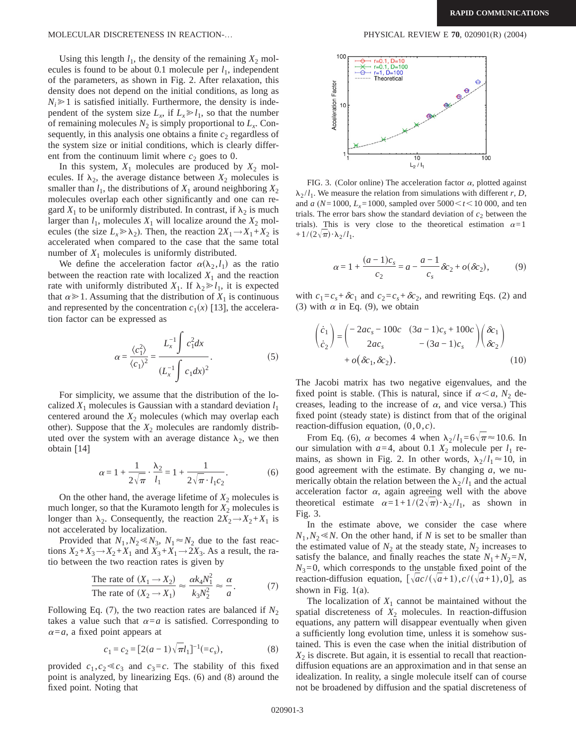## MOLECULAR DISCRETENESS IN REACTION-… PHYSICAL REVIEW E **70**, 020901(R) (2004)

Using this length  $l_1$ , the density of the remaining  $X_2$  molecules is found to be about 0.1 molecule per  $l_1$ , independent of the parameters, as shown in Fig. 2. After relaxation, this density does not depend on the initial conditions, as long as  $N_i \geq 1$  is satisfied initially. Furthermore, the density is independent of the system size  $L_x$ , if  $L_x \ge l_1$ , so that the number of remaining molecules  $N_2$  is simply proportional to  $L_x$ . Consequently, in this analysis one obtains a finite  $c_2$  regardless of the system size or initial conditions, which is clearly different from the continuum limit where  $c_2$  goes to 0.

In this system,  $X_1$  molecules are produced by  $X_2$  molecules. If  $\lambda_2$ , the average distance between  $X_2$  molecules is smaller than  $l_1$ , the distributions of  $X_1$  around neighboring  $X_2$ molecules overlap each other significantly and one can regard  $X_1$  to be uniformly distributed. In contrast, if  $\lambda_2$  is much larger than  $l_1$ , molecules  $X_1$  will localize around the  $X_2$  molecules (the size  $L_x \gg \lambda_2$ ). Then, the reaction  $2X_1 \rightarrow X_1 + X_2$  is accelerated when compared to the case that the same total number of  $X_1$  molecules is uniformly distributed.

We define the acceleration factor  $\alpha(\lambda_2, l_1)$  as the ratio between the reaction rate with localized  $X_1$  and the reaction rate with uniformly distributed  $X_1$ . If  $\lambda_2 \ge l_1$ , it is expected that  $\alpha \geq 1$ . Assuming that the distribution of  $X_1$  is continuous and represented by the concentration  $c_1(x)$  [13], the acceleration factor can be expressed as

$$
\alpha = \frac{\langle c_1^2 \rangle}{\langle c_1 \rangle^2} = \frac{L_x^{-1} \int c_1^2 dx}{(L_x^{-1} \int c_1 dx)^2}.
$$
 (5)

For simplicity, we assume that the distribution of the localized  $X_1$  molecules is Gaussian with a standard deviation  $l_1$ centered around the  $X_2$  molecules (which may overlap each other). Suppose that the  $X_2$  molecules are randomly distributed over the system with an average distance  $\lambda_2$ , we then obtain [14]

$$
\alpha = 1 + \frac{1}{2\sqrt{\pi}} \cdot \frac{\lambda_2}{l_1} = 1 + \frac{1}{2\sqrt{\pi} \cdot l_1 c_2}.
$$
 (6)

On the other hand, the average lifetime of  $X_2$  molecules is much longer, so that the Kuramoto length for  $X_2$  molecules is longer than  $\lambda_2$ . Consequently, the reaction  $2X_2 \rightarrow X_2 + X_1$  is not accelerated by localization.

Provided that  $N_1, N_2 \ll N_3$ ,  $N_1 \approx N_2$  due to the fast reactions  $X_2+X_3 \rightarrow X_2+X_1$  and  $X_3+X_1 \rightarrow 2X_3$ . As a result, the ratio between the two reaction rates is given by

$$
\frac{\text{The rate of } (X_1 \to X_2)}{\text{The rate of } (X_2 \to X_1)} \approx \frac{\alpha k_4 N_1^2}{k_3 N_2^2} \approx \frac{\alpha}{a}.\tag{7}
$$

Following Eq. (7), the two reaction rates are balanced if  $N_2$ takes a value such that  $\alpha = a$  is satisfied. Corresponding to  $\alpha = a$ , a fixed point appears at

$$
c_1 = c_2 = [2(a-1)\sqrt{\pi}l_1]^{-1} (=c_s),
$$
\n(8)

provided  $c_1, c_2 \ll c_3$  and  $c_3 = c$ . The stability of this fixed point is analyzed, by linearizing Eqs. (6) and (8) around the fixed point. Noting that



FIG. 3. (Color online) The acceleration factor  $\alpha$ , plotted against  $\lambda$ <sub>2</sub>/ $l_1$ . We measure the relation from simulations with different *r*, *D*, and *a* ( $N=1000$ ,  $L_x=1000$ , sampled over  $5000 < t < 10000$ , and ten trials. The error bars show the standard deviation of  $c_2$  between the trials). This is very close to the theoretical estimation  $\alpha=1$  $+1/(2\sqrt{\pi})\cdot\lambda_2/l_1$ .

$$
\alpha = 1 + \frac{(a-1)c_s}{c_2} = a - \frac{a-1}{c_s} \delta c_2 + o(\delta c_2),\tag{9}
$$

with  $c_1 = c_s + \delta c_1$  and  $c_2 = c_s + \delta c_2$ , and rewriting Eqs. (2) and (3) with  $\alpha$  in Eq. (9), we obtain

$$
\begin{pmatrix}\n\dot{c}_1 \\
\dot{c}_2\n\end{pmatrix} = \begin{pmatrix}\n-2ac_s - 100c & (3a - 1)c_s + 100c \\
2ac_s & -(3a - 1)c_s\n\end{pmatrix} \begin{pmatrix}\n\delta c_1 \\
\delta c_2\n\end{pmatrix} + o(\delta c_1, \delta c_2).
$$
\n(10)

The Jacobi matrix has two negative eigenvalues, and the fixed point is stable. (This is natural, since if  $\alpha < a$ ,  $N_2$  decreases, leading to the increase of  $\alpha$ , and vice versa.) This fixed point (steady state) is distinct from that of the original reaction-diffusion equation,  $(0,0,c)$ .

From Eq. (6),  $\alpha$  becomes 4 when  $\lambda_2 / l_1 = 6\sqrt{\pi} \approx 10.6$ . In our simulation with  $a=4$ , about 0.1  $X_2$  molecule per  $l_1$  remains, as shown in Fig. 2. In other words,  $\lambda_2 / l_1 \approx 10$ , in good agreement with the estimate. By changing *a*, we numerically obtain the relation between the  $\lambda_2 / l_1$  and the actual acceleration factor  $\alpha$ , again agreeing well with the above theoretical estimate  $\alpha=1+1/(2\sqrt{\pi}) \cdot \lambda_2/l_1$ , as shown in Fig. 3.

In the estimate above, we consider the case where  $N_1, N_2 \ll N$ . On the other hand, if *N* is set to be smaller than the estimated value of  $N_2$  at the steady state,  $N_2$  increases to satisfy the balance, and finally reaches the state  $N_1 + N_2 = N$ ,  $N_3=0$ , which corresponds to the unstable fixed point of the reaction-diffusion equation,  $[\sqrt{ac}/(\sqrt{a}+1), c/(\sqrt{a}+1),0]$ , as shown in Fig. 1(a).

The localization of  $X_1$  cannot be maintained without the spatial discreteness of  $X_2$  molecules. In reaction-diffusion equations, any pattern will disappear eventually when given a sufficiently long evolution time, unless it is somehow sustained. This is even the case when the initial distribution of  $X_2$  is discrete. But again, it is essential to recall that reactiondiffusion equations are an approximation and in that sense an idealization. In reality, a single molecule itself can of course not be broadened by diffusion and the spatial discreteness of